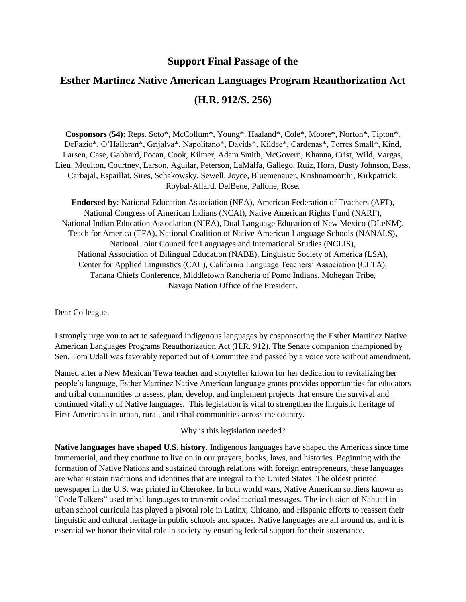## **Support Final Passage of the**

# **Esther Martinez Native American Languages Program Reauthorization Act (H.R. 912/S. 256)**

**Cosponsors (54):** Reps. Soto\*, McCollum\*, Young\*, Haaland\*, Cole\*, Moore\*, Norton\*, Tipton\*, DeFazio\*, O'Halleran\*, Grijalva\*, Napolitano\*, Davids\*, Kildee\*, Cardenas\*, Torres Small\*, Kind, Larsen, Case, Gabbard, Pocan, Cook, Kilmer, Adam Smith, McGovern, Khanna, Crist, Wild, Vargas, Lieu, Moulton, Courtney, Larson, Aguilar, Peterson, LaMalfa, Gallego, Ruiz, Horn, Dusty Johnson, Bass, Carbajal, Espaillat, Sires, Schakowsky, Sewell, Joyce, Bluemenauer, Krishnamoorthi, Kirkpatrick, Roybal-Allard, DelBene, Pallone, Rose.

**Endorsed by**: National Education Association (NEA), American Federation of Teachers (AFT), National Congress of American Indians (NCAI), Native American Rights Fund (NARF), National Indian Education Association (NIEA), Dual Language Education of New Mexico (DLeNM), Teach for America (TFA), National Coalition of Native American Language Schools (NANALS), National Joint Council for Languages and International Studies (NCLIS), National Association of Bilingual Education (NABE), Linguistic Society of America (LSA), Center for Applied Linguistics (CAL), California Language Teachers' Association (CLTA), Tanana Chiefs Conference, Middletown Rancheria of Pomo Indians, Mohegan Tribe, Navajo Nation Office of the President.

Dear Colleague,

I strongly urge you to act to safeguard Indigenous languages by cosponsoring the Esther Martinez Native American Languages Programs Reauthorization Act (H.R. 912). The Senate companion championed by Sen. Tom Udall was favorably reported out of Committee and passed by a voice vote without amendment.

Named after a New Mexican Tewa teacher and storyteller known for her dedication to revitalizing her people's language, Esther Martinez Native American language grants provides opportunities for educators and tribal communities to assess, plan, develop, and implement projects that ensure the survival and continued vitality of Native languages. This legislation is vital to strengthen the linguistic heritage of First Americans in urban, rural, and tribal communities across the country.

#### Why is this legislation needed?

**Native languages have shaped U.S. history.** Indigenous languages have shaped the Americas since time immemorial, and they continue to live on in our prayers, books, laws, and histories. Beginning with the formation of Native Nations and sustained through relations with foreign entrepreneurs, these languages are what sustain traditions and identities that are integral to the United States. The oldest printed newspaper in the U.S. was printed in Cherokee. In both world wars, Native American soldiers known as "Code Talkers" used tribal languages to transmit coded tactical messages. The inclusion of Nahuatl in urban school curricula has played a pivotal role in Latinx, Chicano, and Hispanic efforts to reassert their linguistic and cultural heritage in public schools and spaces. Native languages are all around us, and it is essential we honor their vital role in society by ensuring federal support for their sustenance.